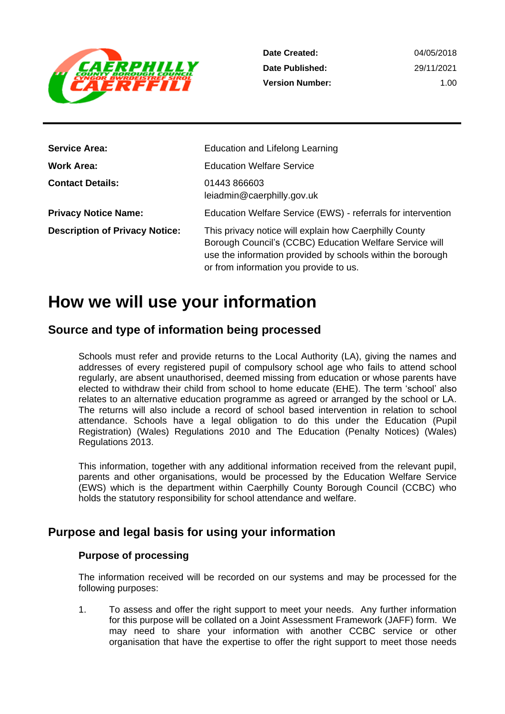

**Date Created: Date Published: Version Number:** 04/05/2018 29/11/2021 1.00

| <b>Service Area:</b>                  | Education and Lifelong Learning                                                                                                                                                                                           |
|---------------------------------------|---------------------------------------------------------------------------------------------------------------------------------------------------------------------------------------------------------------------------|
| Work Area:                            | <b>Education Welfare Service</b>                                                                                                                                                                                          |
| <b>Contact Details:</b>               | 01443 866603<br>leiadmin@caerphilly.gov.uk                                                                                                                                                                                |
| <b>Privacy Notice Name:</b>           | Education Welfare Service (EWS) - referrals for intervention                                                                                                                                                              |
| <b>Description of Privacy Notice:</b> | This privacy notice will explain how Caerphilly County<br>Borough Council's (CCBC) Education Welfare Service will<br>use the information provided by schools within the borough<br>or from information you provide to us. |

## **How we will use your information**

## **Source and type of information being processed**

Schools must refer and provide returns to the Local Authority (LA), giving the names and addresses of every registered pupil of compulsory school age who fails to attend school regularly, are absent unauthorised, deemed missing from education or whose parents have elected to withdraw their child from school to home educate (EHE). The term 'school' also relates to an alternative education programme as agreed or arranged by the school or LA. The returns will also include a record of school based intervention in relation to school attendance. Schools have a legal obligation to do this under the Education (Pupil Registration) (Wales) Regulations 2010 and The Education (Penalty Notices) (Wales) Regulations 2013.

This information, together with any additional information received from the relevant pupil, parents and other organisations, would be processed by the Education Welfare Service (EWS) which is the department within Caerphilly County Borough Council (CCBC) who holds the statutory responsibility for school attendance and welfare.

## **Purpose and legal basis for using your information**

#### **Purpose of processing**

The information received will be recorded on our systems and may be processed for the following purposes:

1. To assess and offer the right support to meet your needs. Any further information for this purpose will be collated on a Joint Assessment Framework (JAFF) form. We may need to share your information with another CCBC service or other organisation that have the expertise to offer the right support to meet those needs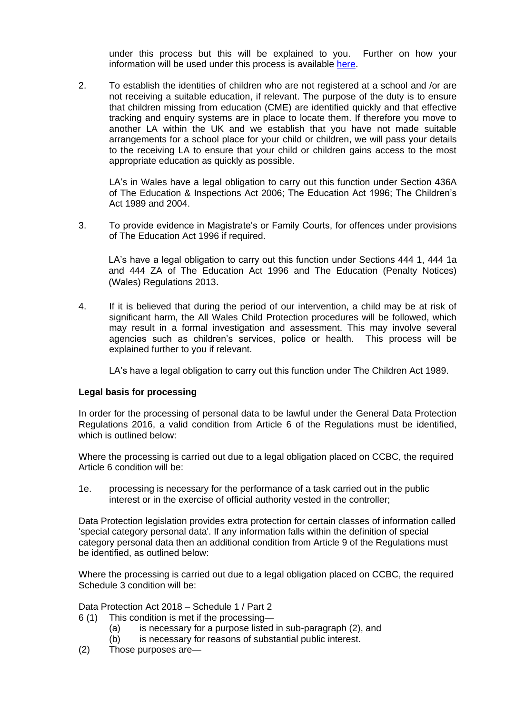under this process but this will be explained to you. Further on how your information will be used under this process is available [here.](https://www.caerphilly.gov.uk/CaerphillyDocs/FOI/PrivacyNotices/JAFFPrivacyNotice.aspx)

2. To establish the identities of children who are not registered at a school and /or are not receiving a suitable education, if relevant. The purpose of the duty is to ensure that children missing from education (CME) are identified quickly and that effective tracking and enquiry systems are in place to locate them. If therefore you move to another LA within the UK and we establish that you have not made suitable arrangements for a school place for your child or children, we will pass your details to the receiving LA to ensure that your child or children gains access to the most appropriate education as quickly as possible.

LA's in Wales have a legal obligation to carry out this function under Section 436A of The Education & Inspections Act 2006; The Education Act 1996; The Children's Act 1989 and 2004.

3. To provide evidence in Magistrate's or Family Courts, for offences under provisions of The Education Act 1996 if required.

LA's have a legal obligation to carry out this function under Sections 444 1, 444 1a and 444 ZA of The Education Act 1996 and The Education (Penalty Notices) (Wales) Regulations 2013.

4. If it is believed that during the period of our intervention, a child may be at risk of significant harm, the All Wales Child Protection procedures will be followed, which may result in a formal investigation and assessment. This may involve several agencies such as children's services, police or health. This process will be explained further to you if relevant.

LA's have a legal obligation to carry out this function under The Children Act 1989.

#### **Legal basis for processing**

In order for the processing of personal data to be lawful under the General Data Protection Regulations 2016, a valid condition from Article 6 of the Regulations must be identified, which is outlined below:

Where the processing is carried out due to a legal obligation placed on CCBC, the required Article 6 condition will be:

1e. processing is necessary for the performance of a task carried out in the public interest or in the exercise of official authority vested in the controller;

Data Protection legislation provides extra protection for certain classes of information called 'special category personal data'. If any information falls within the definition of special category personal data then an additional condition from Article 9 of the Regulations must be identified, as outlined below:

Where the processing is carried out due to a legal obligation placed on CCBC, the required Schedule 3 condition will be:

Data Protection Act 2018 – Schedule 1 / Part 2

- 6 (1) This condition is met if the processing—
	- (a) is necessary for a purpose listed in sub-paragraph (2), and
	- (b) is necessary for reasons of substantial public interest.
- (2) Those purposes are—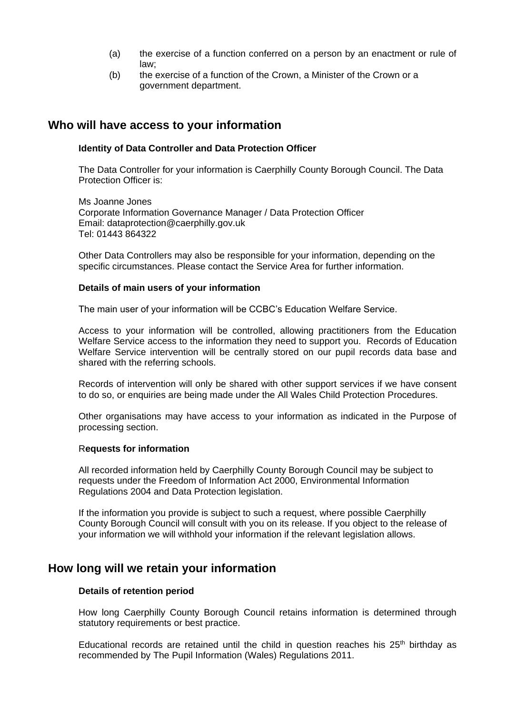- (a) the exercise of a function conferred on a person by an enactment or rule of law;
- (b) the exercise of a function of the Crown, a Minister of the Crown or a government department.

### **Who will have access to your information**

#### **Identity of Data Controller and Data Protection Officer**

The Data Controller for your information is Caerphilly County Borough Council. The Data Protection Officer is:

Ms Joanne Jones Corporate Information Governance Manager / Data Protection Officer Email: dataprotection@caerphilly.gov.uk Tel: 01443 864322

Other Data Controllers may also be responsible for your information, depending on the specific circumstances. Please contact the Service Area for further information.

#### **Details of main users of your information**

The main user of your information will be CCBC's Education Welfare Service.

Access to your information will be controlled, allowing practitioners from the Education Welfare Service access to the information they need to support you. Records of Education Welfare Service intervention will be centrally stored on our pupil records data base and shared with the referring schools.

Records of intervention will only be shared with other support services if we have consent to do so, or enquiries are being made under the All Wales Child Protection Procedures.

Other organisations may have access to your information as indicated in the Purpose of processing section.

#### R**equests for information**

All recorded information held by Caerphilly County Borough Council may be subject to requests under the Freedom of Information Act 2000, Environmental Information Regulations 2004 and Data Protection legislation.

If the information you provide is subject to such a request, where possible Caerphilly County Borough Council will consult with you on its release. If you object to the release of your information we will withhold your information if the relevant legislation allows.

#### **How long will we retain your information**

#### **Details of retention period**

How long Caerphilly County Borough Council retains information is determined through statutory requirements or best practice.

Educational records are retained until the child in question reaches his  $25<sup>th</sup>$  birthday as recommended by The Pupil Information (Wales) Regulations 2011.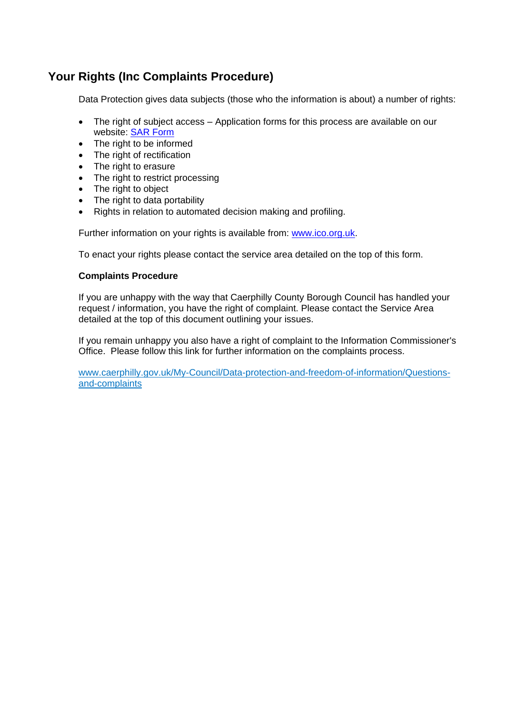## **Your Rights (Inc Complaints Procedure)**

Data Protection gives data subjects (those who the information is about) a number of rights:

- The right of subject access Application forms for this process are available on our website: [SAR Form](http://www.caerphilly.gov.uk/CaerphillyDocs/Council-and-democracy/sar_form.aspx)
- The right to be informed
- The right of rectification
- The right to erasure
- The right to restrict processing
- The right to object
- The right to data portability
- Rights in relation to automated decision making and profiling.

Further information on your rights is available from: [www.ico.org.uk.](http://www.ico.org.uk/)

To enact your rights please contact the service area detailed on the top of this form.

#### **Complaints Procedure**

If you are unhappy with the way that Caerphilly County Borough Council has handled your request / information, you have the right of complaint. Please contact the Service Area detailed at the top of this document outlining your issues.

If you remain unhappy you also have a right of complaint to the Information Commissioner's Office. Please follow this link for further information on the complaints process.

[www.caerphilly.gov.uk/My-Council/Data-protection-and-freedom-of-information/Questions](http://www.caerphilly.gov.uk/My-Council/Data-protection-and-freedom-of-information/Questions-and-complaints)[and-complaints](http://www.caerphilly.gov.uk/My-Council/Data-protection-and-freedom-of-information/Questions-and-complaints)